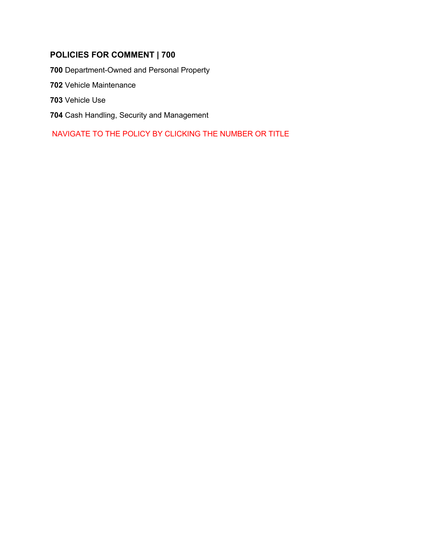# **POLICIES FOR COMMENT | 700**

**00** [Department-Owned and Personal Property](#page-1-0) 

[Vehicle Maintenance](#page-4-0) 

[Vehicle Use](#page-6-0) 

[Cash Handling, Security](#page-12-0) and Management

NAVIGATE TO THE POLICY BY CLICKING THE NUMBER OR TITLE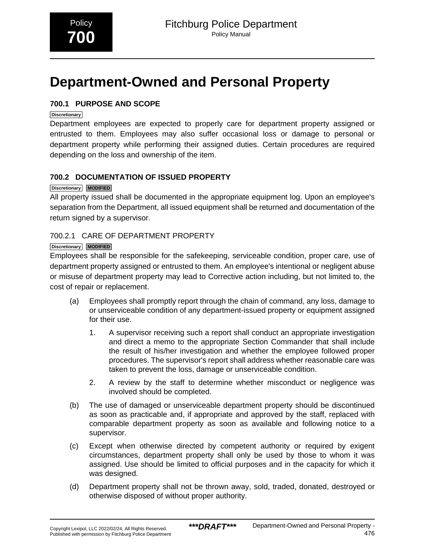# <span id="page-1-0"></span>**Department-Owned and Personal Property**

# **700.1 PURPOSE AND SCOPE**

### **Discretionary**

Department employees are expected to properly care for department property assigned or entrusted to them. Employees may also suffer occasional loss or damage to personal or department property while performing their assigned duties. Certain procedures are required depending on the loss and ownership of the item.

# **700.2 DOCUMENTATION OF ISSUED PROPERTY**

# **Discretionary MODIFIED**

All property issued shall be documented in the appropriate equipment log. Upon an employee's separation from the Department, all issued equipment shall be returned and documentation of the return signed by a supervisor.

# 700.2.1 CARE OF DEPARTMENT PROPERTY

# **Discretionary MODIFIED**

Employees shall be responsible for the safekeeping, serviceable condition, proper care, use of department property assigned or entrusted to them. An employee's intentional or negligent abuse or misuse of department property may lead to Corrective action including, but not limited to, the cost of repair or replacement.

- (a) Employees shall promptly report through the chain of command, any loss, damage to or unserviceable condition of any department-issued property or equipment assigned for their use.
	- 1. A supervisor receiving such a report shall conduct an appropriate investigation and direct a memo to the appropriate Section Commander that shall include the result of his/her investigation and whether the employee followed proper procedures. The supervisor's report shall address whether reasonable care was taken to prevent the loss, damage or unserviceable condition.
	- 2. A review by the staff to determine whether misconduct or negligence was involved should be completed.
- (b) The use of damaged or unserviceable department property should be discontinued as soon as practicable and, if appropriate and approved by the staff, replaced with comparable department property as soon as available and following notice to a supervisor.
- (c) Except when otherwise directed by competent authority or required by exigent circumstances, department property shall only be used by those to whom it was assigned. Use should be limited to official purposes and in the capacity for which it was designed.
- (d) Department property shall not be thrown away, sold, traded, donated, destroyed or otherwise disposed of without proper authority.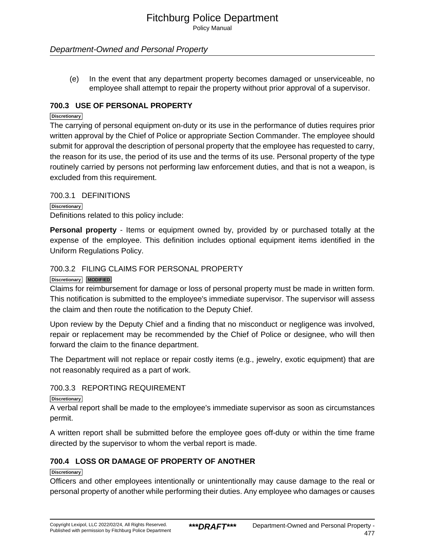Policy Manual

# Department-Owned and Personal Property

(e) In the event that any department property becomes damaged or unserviceable, no employee shall attempt to repair the property without prior approval of a supervisor.

# **700.3 USE OF PERSONAL PROPERTY**

#### **Discretionary**

The carrying of personal equipment on-duty or its use in the performance of duties requires prior written approval by the Chief of Police or appropriate Section Commander. The employee should submit for approval the description of personal property that the employee has requested to carry, the reason for its use, the period of its use and the terms of its use. Personal property of the type routinely carried by persons not performing law enforcement duties, and that is not a weapon, is excluded from this requirement.

700.3.1 DEFINITIONS

**Discretionary** Definitions related to this policy include:

**Personal property** - Items or equipment owned by, provided by or purchased totally at the expense of the employee. This definition includes optional equipment items identified in the Uniform Regulations Policy.

# 700.3.2 FILING CLAIMS FOR PERSONAL PROPERTY

## **Discretionary MODIFIED**

Claims for reimbursement for damage or loss of personal property must be made in written form. This notification is submitted to the employee's immediate supervisor. The supervisor will assess the claim and then route the notification to the Deputy Chief.

Upon review by the Deputy Chief and a finding that no misconduct or negligence was involved, repair or replacement may be recommended by the Chief of Police or designee, who will then forward the claim to the finance department.

The Department will not replace or repair costly items (e.g., jewelry, exotic equipment) that are not reasonably required as a part of work.

# 700.3.3 REPORTING REQUIREMENT

**Discretionary**

A verbal report shall be made to the employee's immediate supervisor as soon as circumstances permit.

A written report shall be submitted before the employee goes off-duty or within the time frame directed by the supervisor to whom the verbal report is made.

# **700.4 LOSS OR DAMAGE OF PROPERTY OF ANOTHER**

#### **Discretionary**

Officers and other employees intentionally or unintentionally may cause damage to the real or personal property of another while performing their duties. Any employee who damages or causes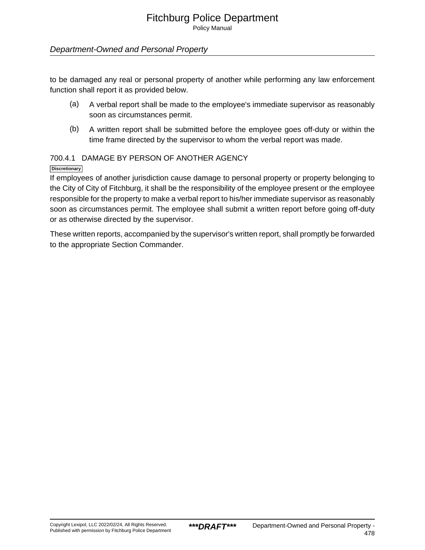Policy Manual

# Department-Owned and Personal Property

to be damaged any real or personal property of another while performing any law enforcement function shall report it as provided below.

- (a) A verbal report shall be made to the employee's immediate supervisor as reasonably soon as circumstances permit.
- (b) A written report shall be submitted before the employee goes off-duty or within the time frame directed by the supervisor to whom the verbal report was made.

# 700.4.1 DAMAGE BY PERSON OF ANOTHER AGENCY

# **Discretionary**

If employees of another jurisdiction cause damage to personal property or property belonging to the City of City of Fitchburg, it shall be the responsibility of the employee present or the employee responsible for the property to make a verbal report to his/her immediate supervisor as reasonably soon as circumstances permit. The employee shall submit a written report before going off-duty or as otherwise directed by the supervisor.

These written reports, accompanied by the supervisor's written report, shall promptly be forwarded to the appropriate Section Commander.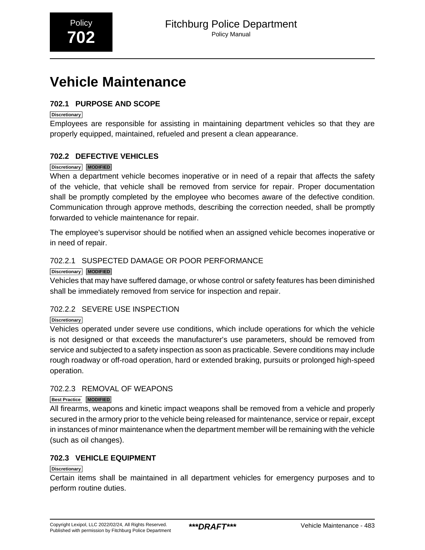# <span id="page-4-0"></span>**Vehicle Maintenance**

# **702.1 PURPOSE AND SCOPE**

## **Discretionary**

Employees are responsible for assisting in maintaining department vehicles so that they are properly equipped, maintained, refueled and present a clean appearance.

# **702.2 DEFECTIVE VEHICLES**

### **Discretionary MODIFIED**

When a department vehicle becomes inoperative or in need of a repair that affects the safety of the vehicle, that vehicle shall be removed from service for repair. Proper documentation shall be promptly completed by the employee who becomes aware of the defective condition. Communication through approve methods, describing the correction needed, shall be promptly forwarded to vehicle maintenance for repair.

The employee's supervisor should be notified when an assigned vehicle becomes inoperative or in need of repair.

# 702.2.1 SUSPECTED DAMAGE OR POOR PERFORMANCE

## **Discretionary MODIFIED**

Vehicles that may have suffered damage, or whose control or safety features has been diminished shall be immediately removed from service for inspection and repair.

# 702.2.2 SEVERE USE INSPECTION

# **Discretionary**

Vehicles operated under severe use conditions, which include operations for which the vehicle is not designed or that exceeds the manufacturer's use parameters, should be removed from service and subjected to a safety inspection as soon as practicable. Severe conditions may include rough roadway or off-road operation, hard or extended braking, pursuits or prolonged high-speed operation.

# 702.2.3 REMOVAL OF WEAPONS

# **Best Practice MODIFIED**

All firearms, weapons and kinetic impact weapons shall be removed from a vehicle and properly secured in the armory prior to the vehicle being released for maintenance, service or repair, except in instances of minor maintenance when the department member will be remaining with the vehicle (such as oil changes).

# **702.3 VEHICLE EQUIPMENT**

# **Discretionary**

Certain items shall be maintained in all department vehicles for emergency purposes and to perform routine duties.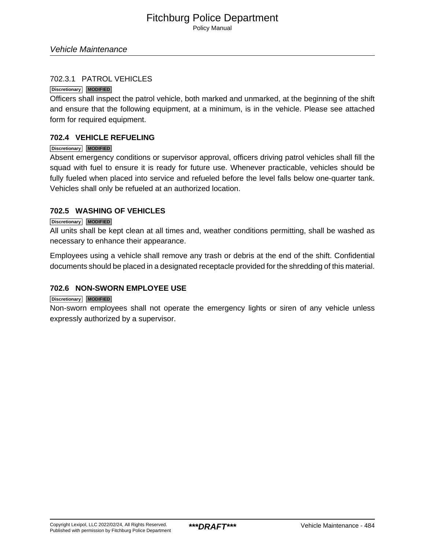Policy Manual

# 702.3.1 PATROL VEHICLES

#### **Discretionary MODIFIED**

Officers shall inspect the patrol vehicle, both marked and unmarked, at the beginning of the shift and ensure that the following equipment, at a minimum, is in the vehicle. Please see attached form for required equipment.

## **702.4 VEHICLE REFUELING**

#### **Discretionary MODIFIED**

Absent emergency conditions or supervisor approval, officers driving patrol vehicles shall fill the squad with fuel to ensure it is ready for future use. Whenever practicable, vehicles should be fully fueled when placed into service and refueled before the level falls below one-quarter tank. Vehicles shall only be refueled at an authorized location.

# **702.5 WASHING OF VEHICLES**

#### **Discretionary MODIFIED**

All units shall be kept clean at all times and, weather conditions permitting, shall be washed as necessary to enhance their appearance.

Employees using a vehicle shall remove any trash or debris at the end of the shift. Confidential documents should be placed in a designated receptacle provided for the shredding of this material.

# **702.6 NON-SWORN EMPLOYEE USE**

#### **Discretionary MODIFIED**

Non-sworn employees shall not operate the emergency lights or siren of any vehicle unless expressly authorized by a supervisor.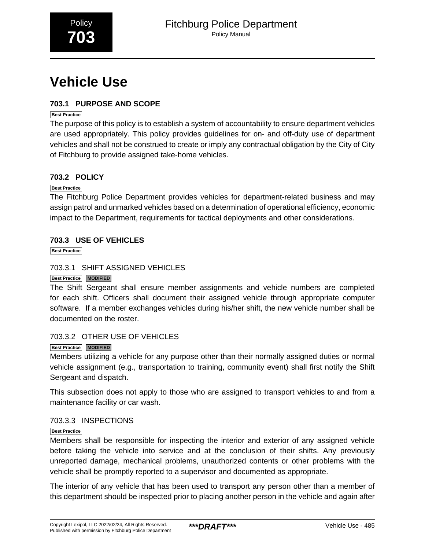<span id="page-6-0"></span>

# **Vehicle Use**

# **703.1 PURPOSE AND SCOPE**

# **Best Practice**

The purpose of this policy is to establish a system of accountability to ensure department vehicles are used appropriately. This policy provides guidelines for on- and off-duty use of department vehicles and shall not be construed to create or imply any contractual obligation by the City of City of Fitchburg to provide assigned take-home vehicles.

# **703.2 POLICY**

# **Best Practice**

The Fitchburg Police Department provides vehicles for department-related business and may assign patrol and unmarked vehicles based on a determination of operational efficiency, economic impact to the Department, requirements for tactical deployments and other considerations.

# **703.3 USE OF VEHICLES**

**Best Practice**

# 703.3.1 SHIFT ASSIGNED VEHICLES

# **Best Practice MODIFIED**

The Shift Sergeant shall ensure member assignments and vehicle numbers are completed for each shift. Officers shall document their assigned vehicle through appropriate computer software. If a member exchanges vehicles during his/her shift, the new vehicle number shall be documented on the roster.

# 703.3.2 OTHER USE OF VEHICLES

# **Best Practice MODIFIED**

Members utilizing a vehicle for any purpose other than their normally assigned duties or normal vehicle assignment (e.g., transportation to training, community event) shall first notify the Shift Sergeant and dispatch.

This subsection does not apply to those who are assigned to transport vehicles to and from a maintenance facility or car wash.

# 703.3.3 INSPECTIONS

# **Best Practice**

Members shall be responsible for inspecting the interior and exterior of any assigned vehicle before taking the vehicle into service and at the conclusion of their shifts. Any previously unreported damage, mechanical problems, unauthorized contents or other problems with the vehicle shall be promptly reported to a supervisor and documented as appropriate.

The interior of any vehicle that has been used to transport any person other than a member of this department should be inspected prior to placing another person in the vehicle and again after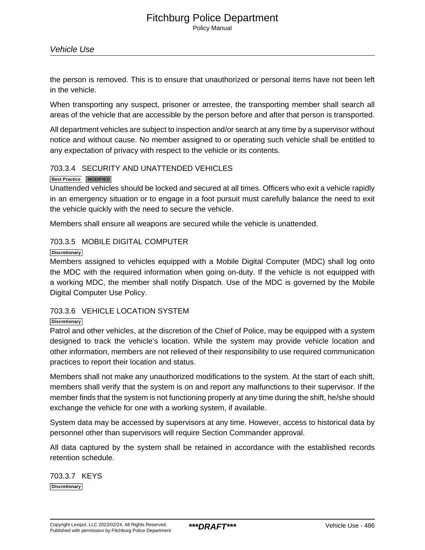Policy Manual

the person is removed. This is to ensure that unauthorized or personal items have not been left in the vehicle.

When transporting any suspect, prisoner or arrestee, the transporting member shall search all areas of the vehicle that are accessible by the person before and after that person is transported.

All department vehicles are subject to inspection and/or search at any time by a supervisor without notice and without cause. No member assigned to or operating such vehicle shall be entitled to any expectation of privacy with respect to the vehicle or its contents.

### 703.3.4 SECURITY AND UNATTENDED VEHICLES

#### **Best Practice MODIFIED**

Unattended vehicles should be locked and secured at all times. Officers who exit a vehicle rapidly in an emergency situation or to engage in a foot pursuit must carefully balance the need to exit the vehicle quickly with the need to secure the vehicle.

Members shall ensure all weapons are secured while the vehicle is unattended.

### 703.3.5 MOBILE DIGITAL COMPUTER

#### **Discretionary**

Members assigned to vehicles equipped with a Mobile Digital Computer (MDC) shall log onto the MDC with the required information when going on-duty. If the vehicle is not equipped with a working MDC, the member shall notify Dispatch. Use of the MDC is governed by the Mobile Digital Computer Use Policy.

# 703.3.6 VEHICLE LOCATION SYSTEM

#### **Discretionary**

Patrol and other vehicles, at the discretion of the Chief of Police, may be equipped with a system designed to track the vehicle's location. While the system may provide vehicle location and other information, members are not relieved of their responsibility to use required communication practices to report their location and status.

Members shall not make any unauthorized modifications to the system. At the start of each shift, members shall verify that the system is on and report any malfunctions to their supervisor. If the member finds that the system is not functioning properly at any time during the shift, he/she should exchange the vehicle for one with a working system, if available.

System data may be accessed by supervisors at any time. However, access to historical data by personnel other than supervisors will require Section Commander approval.

All data captured by the system shall be retained in accordance with the established records retention schedule.

703.3.7 KEYS **Discretionary**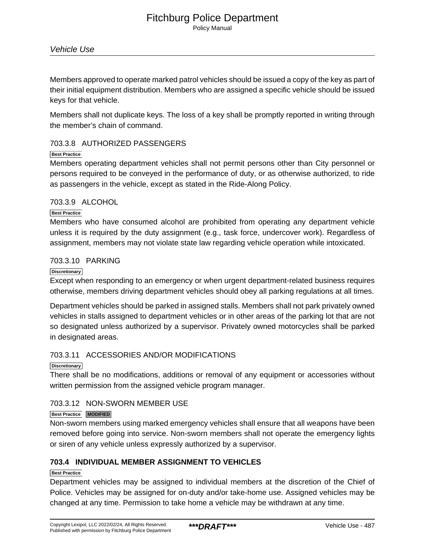Policy Manual

Members approved to operate marked patrol vehicles should be issued a copy of the key as part of their initial equipment distribution. Members who are assigned a specific vehicle should be issued keys for that vehicle.

Members shall not duplicate keys. The loss of a key shall be promptly reported in writing through the member's chain of command.

# 703.3.8 AUTHORIZED PASSENGERS

#### **Best Practice**

Members operating department vehicles shall not permit persons other than City personnel or persons required to be conveyed in the performance of duty, or as otherwise authorized, to ride as passengers in the vehicle, except as stated in the Ride-Along Policy.

# 703.3.9 ALCOHOL

#### **Best Practice**

Members who have consumed alcohol are prohibited from operating any department vehicle unless it is required by the duty assignment (e.g., task force, undercover work). Regardless of assignment, members may not violate state law regarding vehicle operation while intoxicated.

### 703.3.10 PARKING

#### **Discretionary**

Except when responding to an emergency or when urgent department-related business requires otherwise, members driving department vehicles should obey all parking regulations at all times.

Department vehicles should be parked in assigned stalls. Members shall not park privately owned vehicles in stalls assigned to department vehicles or in other areas of the parking lot that are not so designated unless authorized by a supervisor. Privately owned motorcycles shall be parked in designated areas.

# 703.3.11 ACCESSORIES AND/OR MODIFICATIONS

#### **Discretionary**

There shall be no modifications, additions or removal of any equipment or accessories without written permission from the assigned vehicle program manager.

# 703.3.12 NON-SWORN MEMBER USE

#### **Best Practice MODIFIED**

Non-sworn members using marked emergency vehicles shall ensure that all weapons have been removed before going into service. Non-sworn members shall not operate the emergency lights or siren of any vehicle unless expressly authorized by a supervisor.

# **703.4 INDIVIDUAL MEMBER ASSIGNMENT TO VEHICLES**

#### **Best Practice**

Department vehicles may be assigned to individual members at the discretion of the Chief of Police. Vehicles may be assigned for on-duty and/or take-home use. Assigned vehicles may be changed at any time. Permission to take home a vehicle may be withdrawn at any time.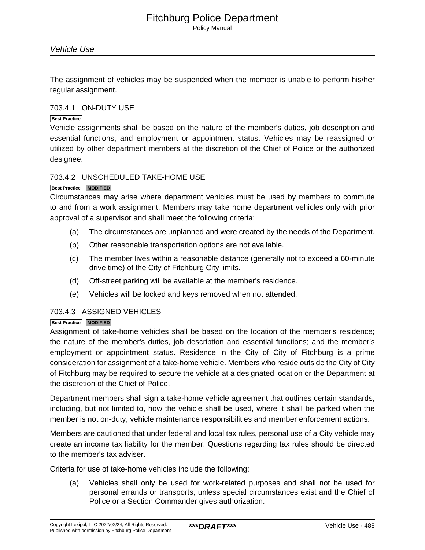Policy Manual

The assignment of vehicles may be suspended when the member is unable to perform his/her regular assignment.

## 703.4.1 ON-DUTY USE

#### **Best Practice**

Vehicle assignments shall be based on the nature of the member's duties, job description and essential functions, and employment or appointment status. Vehicles may be reassigned or utilized by other department members at the discretion of the Chief of Police or the authorized designee.

### 703.4.2 UNSCHEDULED TAKE-HOME USE

#### **Best Practice MODIFIED**

Circumstances may arise where department vehicles must be used by members to commute to and from a work assignment. Members may take home department vehicles only with prior approval of a supervisor and shall meet the following criteria:

- (a) The circumstances are unplanned and were created by the needs of the Department.
- (b) Other reasonable transportation options are not available.
- (c) The member lives within a reasonable distance (generally not to exceed a 60-minute drive time) of the City of Fitchburg City limits.
- (d) Off-street parking will be available at the member's residence.
- (e) Vehicles will be locked and keys removed when not attended.

# 703.4.3 ASSIGNED VEHICLES

#### **Best Practice MODIFIED**

Assignment of take-home vehicles shall be based on the location of the member's residence; the nature of the member's duties, job description and essential functions; and the member's employment or appointment status. Residence in the City of City of Fitchburg is a prime consideration for assignment of a take-home vehicle. Members who reside outside the City of City of Fitchburg may be required to secure the vehicle at a designated location or the Department at the discretion of the Chief of Police.

Department members shall sign a take-home vehicle agreement that outlines certain standards, including, but not limited to, how the vehicle shall be used, where it shall be parked when the member is not on-duty, vehicle maintenance responsibilities and member enforcement actions.

Members are cautioned that under federal and local tax rules, personal use of a City vehicle may create an income tax liability for the member. Questions regarding tax rules should be directed to the member's tax adviser.

Criteria for use of take-home vehicles include the following:

(a) Vehicles shall only be used for work-related purposes and shall not be used for personal errands or transports, unless special circumstances exist and the Chief of Police or a Section Commander gives authorization.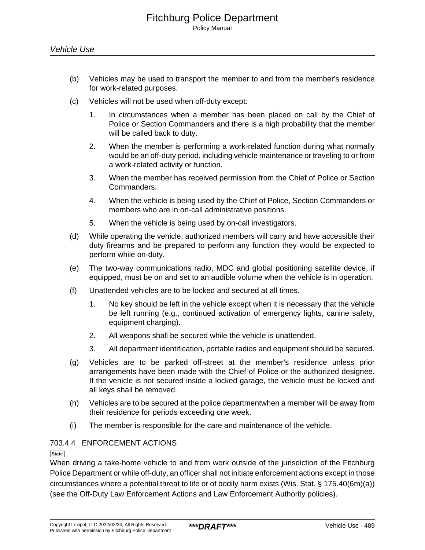- (b) Vehicles may be used to transport the member to and from the member's residence for work-related purposes.
- (c) Vehicles will not be used when off-duty except:
	- 1. In circumstances when a member has been placed on call by the Chief of Police or Section Commanders and there is a high probability that the member will be called back to duty.
	- 2. When the member is performing a work-related function during what normally would be an off-duty period, including vehicle maintenance or traveling to or from a work-related activity or function.
	- 3. When the member has received permission from the Chief of Police or Section Commanders.
	- 4. When the vehicle is being used by the Chief of Police, Section Commanders or members who are in on-call administrative positions.
	- 5. When the vehicle is being used by on-call investigators.
- (d) While operating the vehicle, authorized members will carry and have accessible their duty firearms and be prepared to perform any function they would be expected to perform while on-duty.
- (e) The two-way communications radio, MDC and global positioning satellite device, if equipped, must be on and set to an audible volume when the vehicle is in operation.
- (f) Unattended vehicles are to be locked and secured at all times.
	- 1. No key should be left in the vehicle except when it is necessary that the vehicle be left running (e.g., continued activation of emergency lights, canine safety, equipment charging).
	- 2. All weapons shall be secured while the vehicle is unattended.
	- 3. All department identification, portable radios and equipment should be secured.
- (g) Vehicles are to be parked off-street at the member's residence unless prior arrangements have been made with the Chief of Police or the authorized designee. If the vehicle is not secured inside a locked garage, the vehicle must be locked and all keys shall be removed.
- (h) Vehicles are to be secured at the police departmentwhen a member will be away from their residence for periods exceeding one week.
- (i) The member is responsible for the care and maintenance of the vehicle.

# 703.4.4 ENFORCEMENT ACTIONS

#### **State**

When driving a take-home vehicle to and from work outside of the jurisdiction of the Fitchburg Police Department or while off-duty, an officer shall not initiate enforcement actions except in those circumstances where a potential threat to life or of bodily harm exists (Wis. Stat. § 175.40(6m)(a)) (see the Off-Duty Law Enforcement Actions and Law Enforcement Authority policies).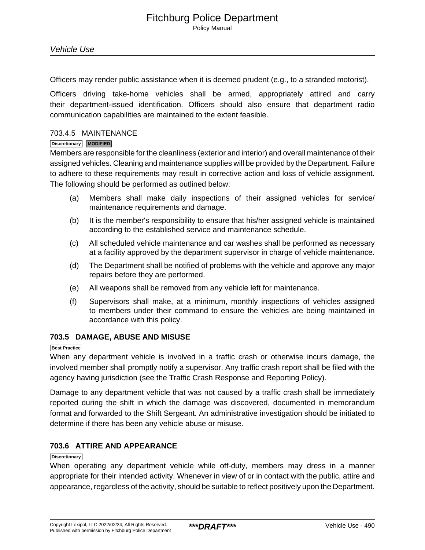Officers may render public assistance when it is deemed prudent (e.g., to a stranded motorist).

Officers driving take-home vehicles shall be armed, appropriately attired and carry their department-issued identification. Officers should also ensure that department radio communication capabilities are maintained to the extent feasible.

#### 703.4.5 MAINTENANCE

#### **Discretionary MODIFIED**

Members are responsible for the cleanliness (exterior and interior) and overall maintenance of their assigned vehicles. Cleaning and maintenance supplies will be provided by the Department. Failure to adhere to these requirements may result in corrective action and loss of vehicle assignment. The following should be performed as outlined below:

- (a) Members shall make daily inspections of their assigned vehicles for service/ maintenance requirements and damage.
- (b) It is the member's responsibility to ensure that his/her assigned vehicle is maintained according to the established service and maintenance schedule.
- (c) All scheduled vehicle maintenance and car washes shall be performed as necessary at a facility approved by the department supervisor in charge of vehicle maintenance.
- (d) The Department shall be notified of problems with the vehicle and approve any major repairs before they are performed.
- (e) All weapons shall be removed from any vehicle left for maintenance.
- (f) Supervisors shall make, at a minimum, monthly inspections of vehicles assigned to members under their command to ensure the vehicles are being maintained in accordance with this policy.

# **703.5 DAMAGE, ABUSE AND MISUSE**

### **Best Practice**

When any department vehicle is involved in a traffic crash or otherwise incurs damage, the involved member shall promptly notify a supervisor. Any traffic crash report shall be filed with the agency having jurisdiction (see the Traffic Crash Response and Reporting Policy).

Damage to any department vehicle that was not caused by a traffic crash shall be immediately reported during the shift in which the damage was discovered, documented in memorandum format and forwarded to the Shift Sergeant. An administrative investigation should be initiated to determine if there has been any vehicle abuse or misuse.

# **703.6 ATTIRE AND APPEARANCE**

#### **Discretionary**

When operating any department vehicle while off-duty, members may dress in a manner appropriate for their intended activity. Whenever in view of or in contact with the public, attire and appearance, regardless of the activity, should be suitable to reflect positively upon the Department.